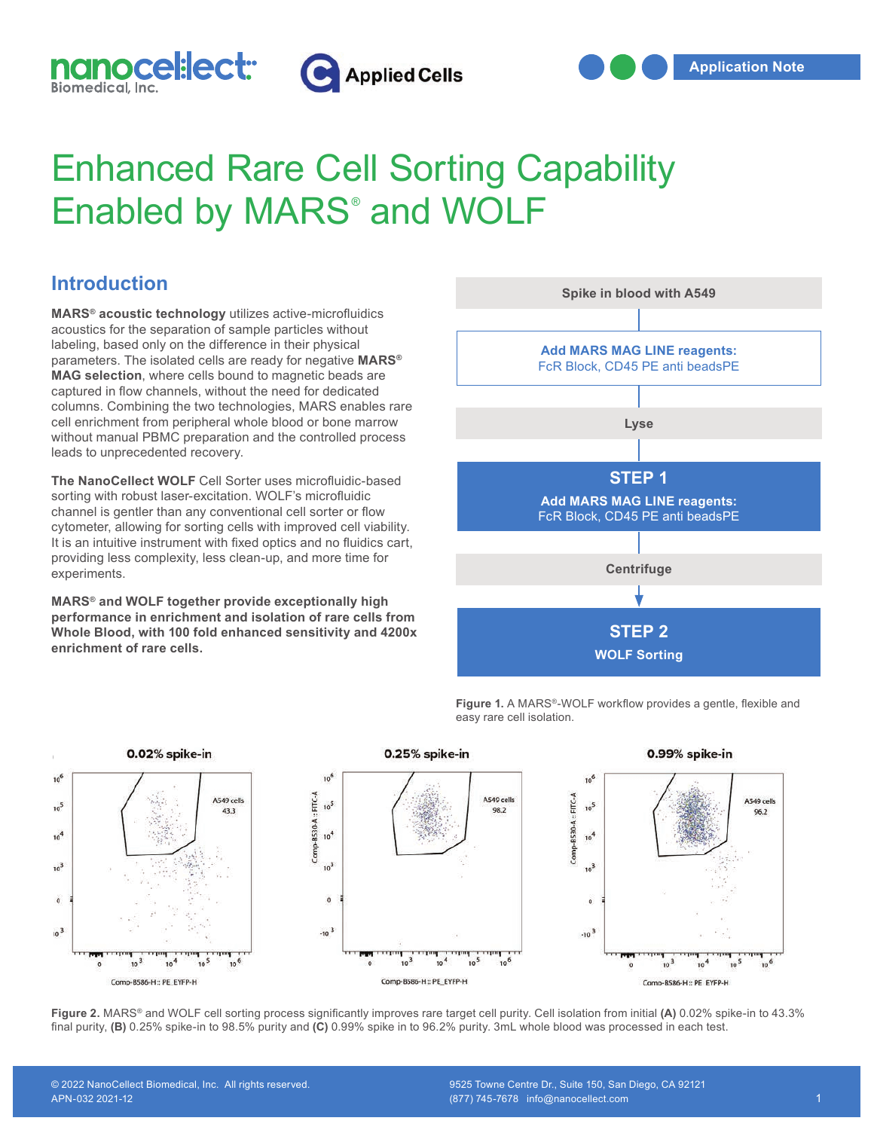



## Enhanced Rare Cell Sorting Capability Enabled by MARS® and WOLF

## **Introduction**

**MARS® acoustic technology** utilizes active-microfluidics acoustics for the separation of sample particles without labeling, based only on the difference in their physical parameters. The isolated cells are ready for negative **MARS® MAG selection**, where cells bound to magnetic beads are captured in flow channels, without the need for dedicated columns. Combining the two technologies, MARS enables rare cell enrichment from peripheral whole blood or bone marrow without manual PBMC preparation and the controlled process leads to unprecedented recovery.

**The NanoCellect WOLF** Cell Sorter uses microfluidic-based sorting with robust laser-excitation. WOLF's microfluidic channel is gentler than any conventional cell sorter or flow cytometer, allowing for sorting cells with improved cell viability. It is an intuitive instrument with fixed optics and no fluidics cart, providing less complexity, less clean-up, and more time for experiments.

**MARS® and WOLF together provide exceptionally high performance in enrichment and isolation of rare cells from Whole Blood, with 100 fold enhanced sensitivity and 4200x enrichment of rare cells.**



**Figure 1.** A MARS®-WOLF workflow provides a gentle, flexible and easy rare cell isolation.



**Figure 2.** MARS® and WOLF cell sorting process significantly improves rare target cell purity. Cell isolation from initial **(A)** 0.02% spike-in to 43.3% final purity, **(B)** 0.25% spike-in to 98.5% purity and **(C)** 0.99% spike in to 96.2% purity. 3mL whole blood was processed in each test.